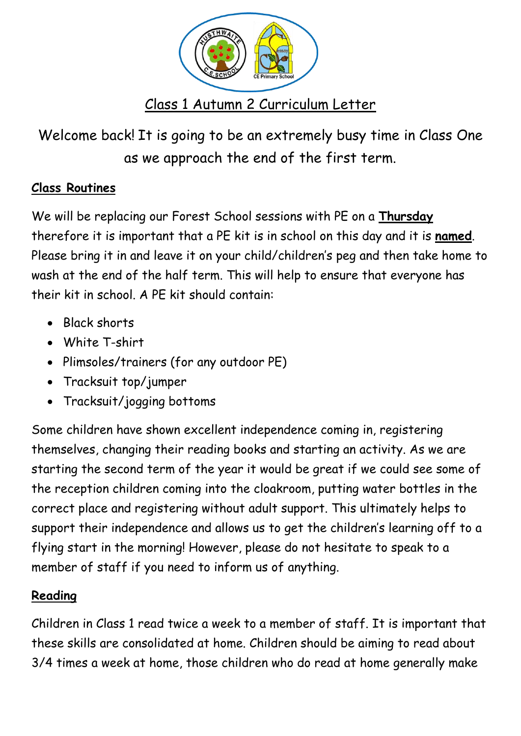

Welcome back! It is going to be an extremely busy time in Class One as we approach the end of the first term.

## **Class Routines**

We will be replacing our Forest School sessions with PE on a **Thursday** therefore it is important that a PE kit is in school on this day and it is **named**. Please bring it in and leave it on your child/children's peg and then take home to wash at the end of the half term. This will help to ensure that everyone has their kit in school. A PE kit should contain:

- Black shorts
- White T-shirt
- Plimsoles/trainers (for any outdoor PE)
- Tracksuit top/jumper
- Tracksuit/jogging bottoms

Some children have shown excellent independence coming in, registering themselves, changing their reading books and starting an activity. As we are starting the second term of the year it would be great if we could see some of the reception children coming into the cloakroom, putting water bottles in the correct place and registering without adult support. This ultimately helps to support their independence and allows us to get the children's learning off to a flying start in the morning! However, please do not hesitate to speak to a member of staff if you need to inform us of anything.

## **Reading**

Children in Class 1 read twice a week to a member of staff. It is important that these skills are consolidated at home. Children should be aiming to read about 3/4 times a week at home, those children who do read at home generally make